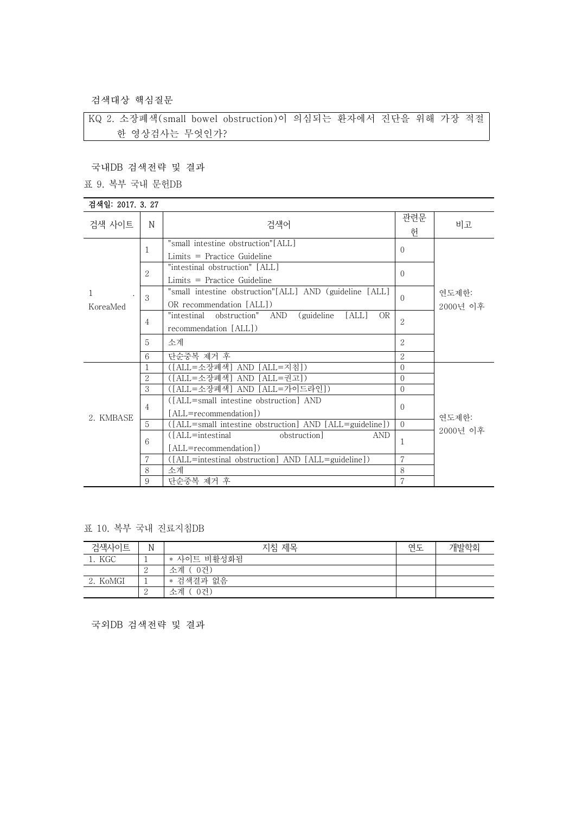검색대상 핵심질문

KQ 2. 소장폐색(small bowel obstruction)이 의심되는 환자에서 진단을 위해 가장 적절 한 영상검사는 무엇인가?

국내DB 검색전략 및 결과

표 9. 복부 국내 문헌DB

## 검색일: 2017. 3. 27

| 검색 사이트        | N              | 검색어                                                                                 | 관련문<br>헌       | 비고                |
|---------------|----------------|-------------------------------------------------------------------------------------|----------------|-------------------|
| 1<br>KoreaMed | 1              | "small intestine obstruction"[ALL]<br>$Limits = Practice Guide$                     | $\Omega$       |                   |
|               | $\overline{2}$ | "intestinal obstruction" [ALL]<br>$Limits = Practice Guide$                         | $\Omega$       | 연도제하:<br>2000년 이후 |
|               | 3              | "small intestine obstruction"[ALL] AND (guideline [ALL]<br>OR recommendation [ALL]) | $\Omega$       |                   |
|               | 4              | [ALL]<br>OR<br>"intestinal obstruction" AND<br>(guideline)<br>recommendation [ALL]) | $\overline{2}$ |                   |
|               | 5              | 소계                                                                                  | $\overline{2}$ |                   |
|               | 6              | 단순중복 제거 후                                                                           | $\overline{2}$ |                   |
|               | 1              | ([ALL=소장폐색] AND [ALL=지침])                                                           | $\theta$       | 연도제한:<br>2000년 이후 |
|               | $\overline{2}$ | ([ALL=소장폐색] AND [ALL=권고])                                                           | $\Omega$       |                   |
|               | 3              | ([ALL=소장폐색] AND [ALL=가이드라인])                                                        | $\Omega$       |                   |
| 2. KMBASE     | $\overline{4}$ | ([ALL=small intestine obstruction] AND<br>[ALL=recommendation])                     | $\Omega$       |                   |
|               | 5              | ([ALL=small intestine obstruction] AND [ALL=guideline])                             | $\Omega$       |                   |
|               | 6              | $(IALL=$ intestinal<br>obstruction]<br><b>AND</b><br>[ALL=recommendation])          |                |                   |
|               | 7              | ([ALL=intestinal obstruction] AND [ALL=guideline])                                  | 7              |                   |
|               | 8              | 소계                                                                                  | 8              |                   |
|               | 9              | 단순중복 제거 후                                                                           | 7              |                   |

표 10. 복부 국내 진료지침DB

| 검색사이트    | N        | 지침 제목       | 연도 | 개발학회 |
|----------|----------|-------------|----|------|
| KGC      |          | * 사이트 비활성화됨 |    |      |
|          | ↵        | - 0건)<br>소계 |    |      |
| 2. KoMGI | <b>.</b> | * 검색결과 없음   |    |      |
|          | ↵        | 0건)<br>소계   |    |      |

국외DB 검색전략 및 결과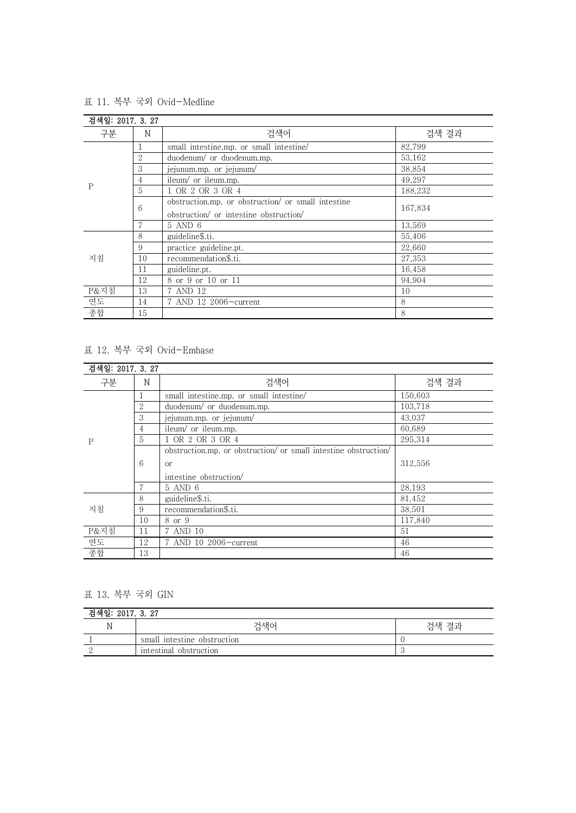표 11. 복부 국외 Ovid-Medline

| 검색일: 2017, 3, 27 |    |                                                    |         |  |
|------------------|----|----------------------------------------------------|---------|--|
| 구분               | N  | 검색어                                                | 검색 결과   |  |
| P                |    | small intestine.mp. or small intestine/            | 82,799  |  |
|                  | 2  | duodenum/ or duodenum.mp.                          | 53,162  |  |
|                  | 3  | jejunum.mp. or jejunum/                            | 38,854  |  |
|                  | 4  | ileum/ or ileum.mp.                                | 49,297  |  |
|                  | 5  | 1 OR 2 OR 3 OR 4                                   | 188,232 |  |
|                  | 6  | obstruction.mp. or obstruction/ or small intestine |         |  |
|                  |    | obstruction/ or intestine obstruction/             | 167,834 |  |
|                  |    | 5 AND 6                                            | 13,569  |  |
| 지침               | 8  | guideline\$.ti.                                    | 55,406  |  |
|                  | 9  | practice guideline.pt.                             | 22,660  |  |
|                  | 10 | recommendation\$.ti.                               | 27,353  |  |
|                  | 11 | guideline.pt.                                      | 16,458  |  |
|                  | 12 | 8 or 9 or 10 or 11                                 | 94,904  |  |
| P&지침             | 13 | 7 AND 12                                           | 10      |  |
| 연도               | 14 | 7 AND 12 2006~current                              | 8       |  |
| 종합               | 15 |                                                    | 8       |  |

## 표 12. 복부 국외 Ovid-Embase

| 검색일: 2017. 3. 27 |    |                                                                 |         |  |
|------------------|----|-----------------------------------------------------------------|---------|--|
| 구분               | N  | 검색어                                                             | 검색 결과   |  |
|                  | 1  | small intestine.mp. or small intestine/                         | 150,603 |  |
|                  | 2  | duodenum/ or duodenum.mp.                                       | 103,718 |  |
|                  | 3  | jejunum.mp. or jejunum/                                         | 43,037  |  |
|                  | 4  | ileum/ or ileum.mp.                                             | 60,689  |  |
| P                | 5  | 1 OR 2 OR 3 OR 4                                                | 295,314 |  |
|                  |    | obstruction.mp. or obstruction/ or small intestine obstruction/ |         |  |
|                  | 6  | or                                                              | 312,556 |  |
|                  |    | intestine obstruction/                                          |         |  |
|                  |    | 5 AND 6                                                         | 28,193  |  |
| 지침               | 8  | guideline\$.ti.                                                 | 81,452  |  |
|                  | 9  | recommendation\$.ti.                                            | 38.501  |  |
|                  | 10 | 8 or 9                                                          | 117,840 |  |
| P&지침             | 11 | 7 AND 10                                                        | 51      |  |
| 연도               | 12 | 7 AND 10 2006~current                                           | 46      |  |
| 종합               | 13 |                                                                 | 46      |  |

## 표 13. 복부 국외 GIN

| 검색일: 2017. 3. 27 |                             |       |  |  |
|------------------|-----------------------------|-------|--|--|
|                  | 검색어                         | 검색 결과 |  |  |
|                  | small intestine obstruction |       |  |  |
|                  | intestinal obstruction      |       |  |  |